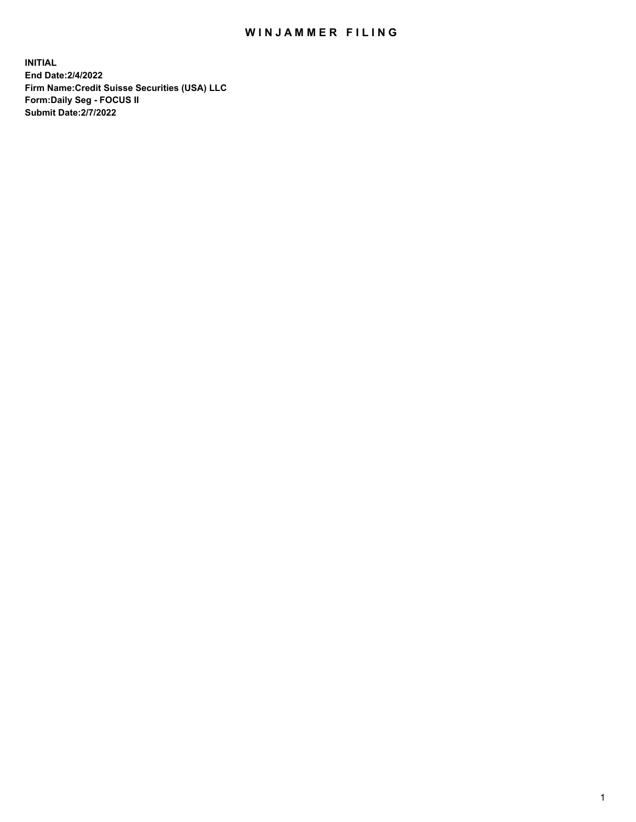## WIN JAMMER FILING

**INITIAL End Date:2/4/2022 Firm Name:Credit Suisse Securities (USA) LLC Form:Daily Seg - FOCUS II Submit Date:2/7/2022**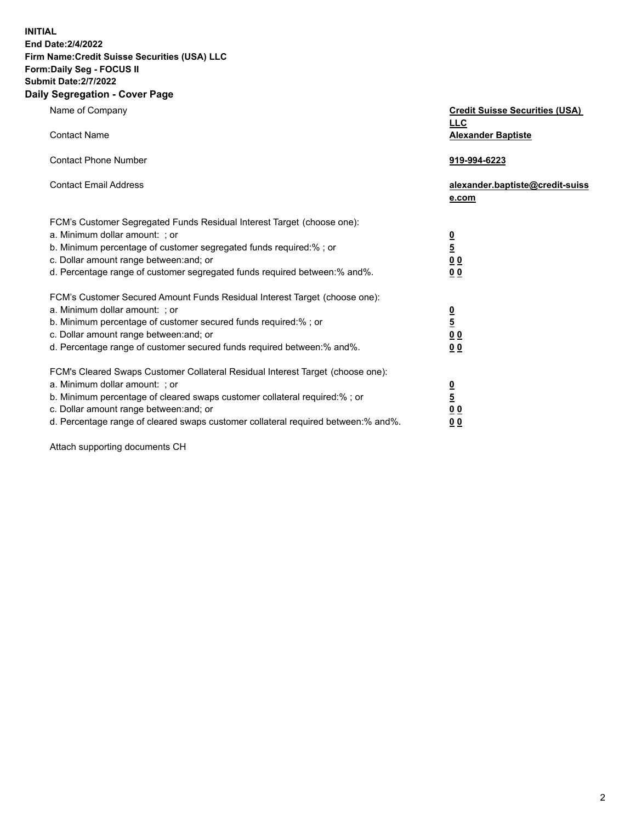**INITIAL** 

## **End Date:2/4/2022 Firm Name:Credit Suisse Securities (USA) LLC Form:Daily Seg - FOCUS II Submit Date:2/7/2022**

## **Daily Segregation - Cover Page**

| Name of Company                                                                   | <b>Credit Suisse Securities (USA)</b><br><u>LLC</u> |
|-----------------------------------------------------------------------------------|-----------------------------------------------------|
| <b>Contact Name</b>                                                               | <b>Alexander Baptiste</b>                           |
| <b>Contact Phone Number</b>                                                       | 919-994-6223                                        |
| <b>Contact Email Address</b>                                                      | alexander.baptiste@credit-suiss<br>e.com            |
| FCM's Customer Segregated Funds Residual Interest Target (choose one):            |                                                     |
| a. Minimum dollar amount: ; or                                                    |                                                     |
| b. Minimum percentage of customer segregated funds required:% ; or                | 0<br>5<br>0 0                                       |
| c. Dollar amount range between: and; or                                           |                                                     |
| d. Percentage range of customer segregated funds required between:% and%.         | 0 <sub>0</sub>                                      |
| FCM's Customer Secured Amount Funds Residual Interest Target (choose one):        |                                                     |
| a. Minimum dollar amount: ; or                                                    |                                                     |
| b. Minimum percentage of customer secured funds required:%; or                    | $\frac{\frac{0}{5}}{\frac{0}{0}}$                   |
| c. Dollar amount range between: and; or                                           |                                                     |
| d. Percentage range of customer secured funds required between: % and %.          | 0 <sub>0</sub>                                      |
| FCM's Cleared Swaps Customer Collateral Residual Interest Target (choose one):    |                                                     |
| a. Minimum dollar amount: ; or                                                    | $\frac{0}{5}$                                       |
| b. Minimum percentage of cleared swaps customer collateral required:% ; or        |                                                     |
| c. Dollar amount range between: and; or                                           | 00                                                  |
| d. Percentage range of cleared swaps customer collateral required between:% and%. | 0 <sub>0</sub>                                      |

Attach supporting documents CH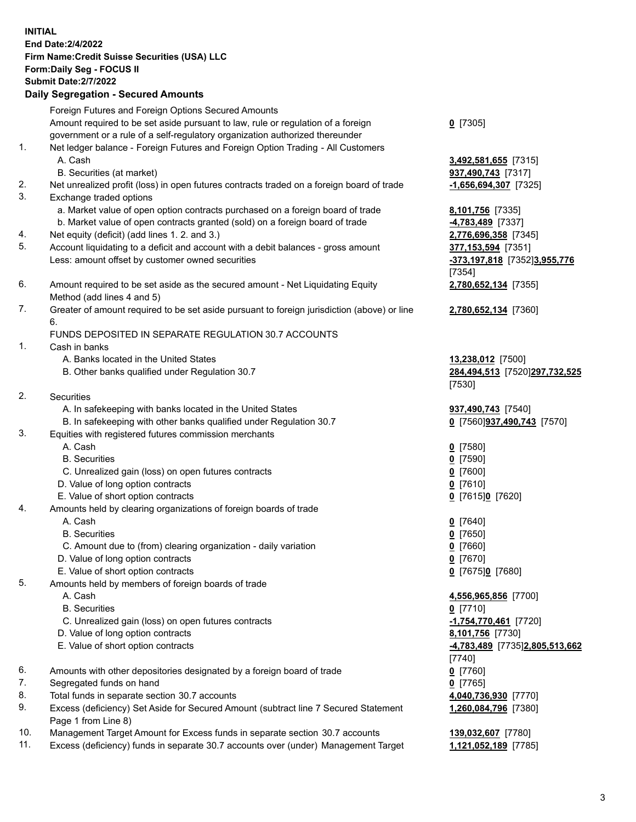**INITIAL End Date:2/4/2022 Firm Name:Credit Suisse Securities (USA) LLC Form:Daily Seg - FOCUS II Submit Date:2/7/2022 Daily Segregation - Secured Amounts**  Foreign Futures and Foreign Options Secured Amounts Amount required to be set aside pursuant to law, rule or regulation of a foreign **0** [7305] government or a rule of a self-regulatory organization authorized thereunder 1. Net ledger balance - Foreign Futures and Foreign Option Trading - All Customers A. Cash **3,492,581,655** [7315] B. Securities (at market) **937,490,743** [7317] 2. Net unrealized profit (loss) in open futures contracts traded on a foreign board of trade **-1,656,694,307** [7325] 3. Exchange traded options a. Market value of open option contracts purchased on a foreign board of trade **8,101,756** [7335] b. Market value of open contracts granted (sold) on a foreign board of trade **-4,783,489** [7337] 4. Net equity (deficit) (add lines 1. 2. and 3.) **2,776,696,358** [7345] 5. Account liquidating to a deficit and account with a debit balances - gross amount **377,153,594** [7351] Less: amount offset by customer owned securities **and the securities of the securities of the securities of the securities of the securities of the securities of the securities of the securities of the securities of the se** [7354] 6. Amount required to be set aside as the secured amount - Net Liquidating Equity **2,780,652,134** [7355] Method (add lines 4 and 5) 7. Greater of amount required to be set aside pursuant to foreign jurisdiction (above) or line **2,780,652,134** [7360] 6. FUNDS DEPOSITED IN SEPARATE REGULATION 30.7 ACCOUNTS 1. Cash in banks A. Banks located in the United States **13,238,012** [7500] B. Other banks qualified under Regulation 30.7 **284,494,513** [7520] **297,732,525**  [7530] 2. Securities A. In safekeeping with banks located in the United States **937,490,743** [7540] B. In safekeeping with other banks qualified under Regulation 30.7 **0** [7560] **937,490,743** [7570] 3. Equities with registered futures commission merchants A. Cash **0** [7580] B. Securities **0** [7590] C. Unrealized gain (loss) on open futures contracts **0** [7600] D. Value of long option contracts **0** [7610] E. Value of short option contracts **0** [7615] **0** [7620] 4. Amounts held by clearing organizations of foreign boards of trade A. Cash **0** [7640] B. Securities **0** [7650] C. Amount due to (from) clearing organization - daily variation **0** [7660] D. Value of long option contracts **0** [7670] E. Value of short option contracts **0** [7675] **0** [7680] 5. Amounts held by members of foreign boards of trade A. Cash **4,556,965,856** [7700] B. Securities **0** [7710] C. Unrealized gain (loss) on open futures contracts **-1,754,770,461** [7720] D. Value of long option contracts **8,101,756** [7730] E. Value of short option contracts **-4,783,489** [7735] **2,805,513,662**  [7740] 6. Amounts with other depositories designated by a foreign board of trade **0** [7760] 7. Segregated funds on hand **0** [7765] 8. Total funds in separate section 30.7 accounts **4,040,736,930** [7770]

9. Excess (deficiency) Set Aside for Secured Amount (subtract line 7 Secured Statement **1,260,084,796** [7380] Page 1 from Line 8)

10. Management Target Amount for Excess funds in separate section 30.7 accounts **139,032,607** [7780]

11. Excess (deficiency) funds in separate 30.7 accounts over (under) Management Target **1,121,052,189** [7785]

3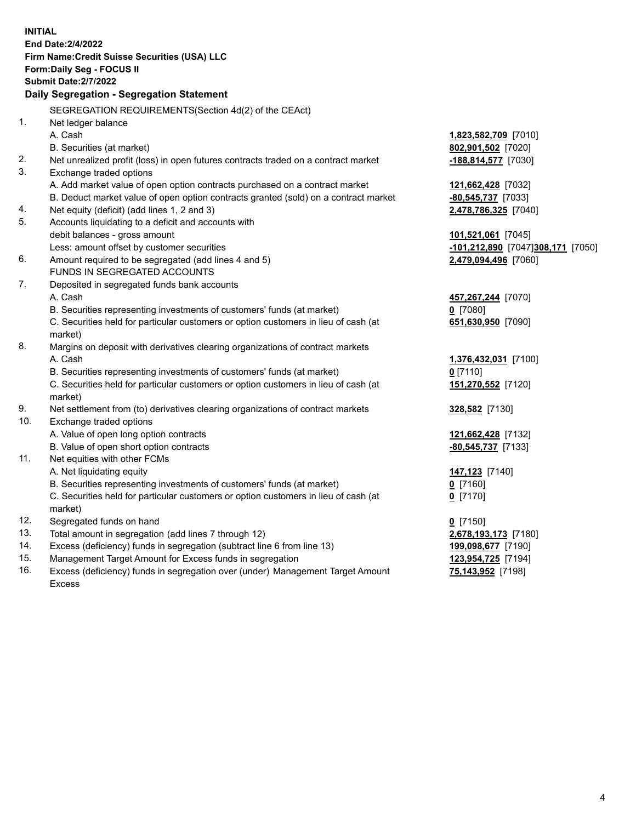| <b>INITIAL</b> |                                                                                                                                                                    |                                   |
|----------------|--------------------------------------------------------------------------------------------------------------------------------------------------------------------|-----------------------------------|
|                | End Date: 2/4/2022                                                                                                                                                 |                                   |
|                | Firm Name: Credit Suisse Securities (USA) LLC                                                                                                                      |                                   |
|                | Form: Daily Seg - FOCUS II                                                                                                                                         |                                   |
|                | <b>Submit Date: 2/7/2022</b>                                                                                                                                       |                                   |
|                | Daily Segregation - Segregation Statement                                                                                                                          |                                   |
|                |                                                                                                                                                                    |                                   |
| 1.             | SEGREGATION REQUIREMENTS(Section 4d(2) of the CEAct)                                                                                                               |                                   |
|                | Net ledger balance<br>A. Cash                                                                                                                                      |                                   |
|                |                                                                                                                                                                    | 1,823,582,709 [7010]              |
| 2.             | B. Securities (at market)                                                                                                                                          | 802,901,502 [7020]                |
| 3.             | Net unrealized profit (loss) in open futures contracts traded on a contract market                                                                                 | -188,814,577 [7030]               |
|                | Exchange traded options                                                                                                                                            |                                   |
|                | A. Add market value of open option contracts purchased on a contract market<br>B. Deduct market value of open option contracts granted (sold) on a contract market | 121,662,428 [7032]                |
| 4.             | Net equity (deficit) (add lines 1, 2 and 3)                                                                                                                        | $-80,545,737$ [7033]              |
| 5.             | Accounts liquidating to a deficit and accounts with                                                                                                                | 2,478,786,325 [7040]              |
|                | debit balances - gross amount                                                                                                                                      | 101,521,061 [7045]                |
|                | Less: amount offset by customer securities                                                                                                                         | -101,212,890 [7047]308,171 [7050] |
| 6.             | Amount required to be segregated (add lines 4 and 5)                                                                                                               | 2,479,094,496 [7060]              |
|                | FUNDS IN SEGREGATED ACCOUNTS                                                                                                                                       |                                   |
| 7.             | Deposited in segregated funds bank accounts                                                                                                                        |                                   |
|                | A. Cash                                                                                                                                                            | 457,267,244 [7070]                |
|                | B. Securities representing investments of customers' funds (at market)                                                                                             | $0$ [7080]                        |
|                | C. Securities held for particular customers or option customers in lieu of cash (at                                                                                | 651,630,950 [7090]                |
|                | market)                                                                                                                                                            |                                   |
| 8.             | Margins on deposit with derivatives clearing organizations of contract markets                                                                                     |                                   |
|                | A. Cash                                                                                                                                                            | 1,376,432,031 [7100]              |
|                | B. Securities representing investments of customers' funds (at market)                                                                                             | $0$ [7110]                        |
|                | C. Securities held for particular customers or option customers in lieu of cash (at                                                                                | 151,270,552 [7120]                |
|                | market)                                                                                                                                                            |                                   |
| 9.             | Net settlement from (to) derivatives clearing organizations of contract markets                                                                                    | 328,582 [7130]                    |
| 10.            | Exchange traded options                                                                                                                                            |                                   |
|                | A. Value of open long option contracts                                                                                                                             | 121,662,428 [7132]                |
|                | B. Value of open short option contracts                                                                                                                            | -80,545,737 [7133]                |
| 11.            | Net equities with other FCMs                                                                                                                                       |                                   |
|                | A. Net liquidating equity                                                                                                                                          | 147,123 [7140]                    |
|                | B. Securities representing investments of customers' funds (at market)                                                                                             | $0$ [7160]                        |
|                | C. Securities held for particular customers or option customers in lieu of cash (at                                                                                | $0$ [7170]                        |
|                | market)                                                                                                                                                            |                                   |
| 12.            | Segregated funds on hand                                                                                                                                           | $0$ [7150]                        |
| 13.            | Total amount in segregation (add lines 7 through 12)                                                                                                               | 2,678,193,173 [7180]              |
| 14.            | Excess (deficiency) funds in segregation (subtract line 6 from line 13)                                                                                            | 199,098,677 [7190]                |
| 15.            | Management Target Amount for Excess funds in segregation                                                                                                           | 123,954,725 [7194]                |
| 16.            | Excess (deficiency) funds in segregation over (under) Management Target Amount                                                                                     | 75,143,952 [7198]                 |
|                | <b>Excess</b>                                                                                                                                                      |                                   |